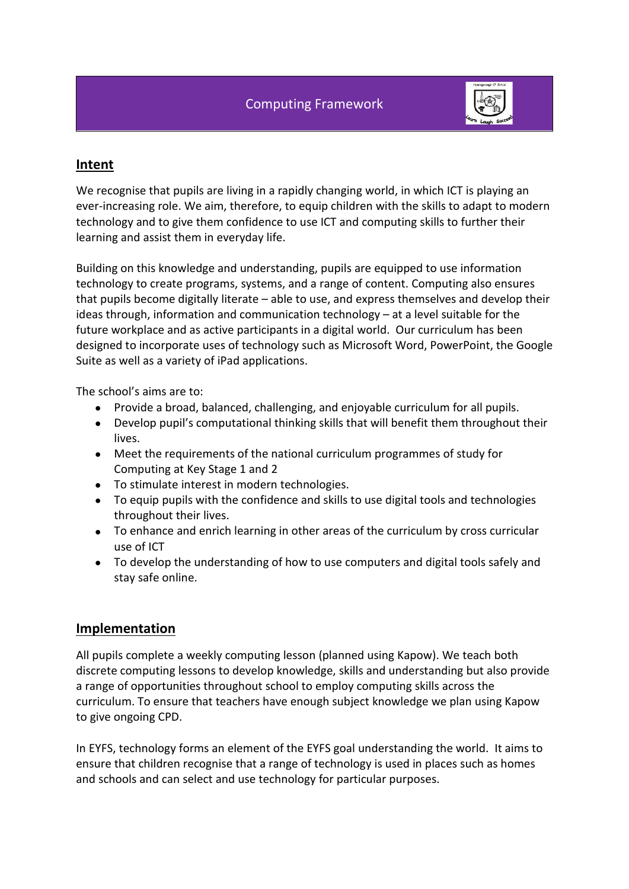

# **Intent**

We recognise that pupils are living in a rapidly changing world, in which ICT is playing an ever-increasing role. We aim, therefore, to equip children with the skills to adapt to modern technology and to give them confidence to use ICT and computing skills to further their learning and assist them in everyday life.

Building on this knowledge and understanding, pupils are equipped to use information technology to create programs, systems, and a range of content. Computing also ensures that pupils become digitally literate – able to use, and express themselves and develop their ideas through, information and communication technology – at a level suitable for the future workplace and as active participants in a digital world. Our curriculum has been designed to incorporate uses of technology such as Microsoft Word, PowerPoint, the Google Suite as well as a variety of iPad applications.

The school's aims are to:

- Provide a broad, balanced, challenging, and enjoyable curriculum for all pupils.
- Develop pupil's computational thinking skills that will benefit them throughout their lives.
- Meet the requirements of the national curriculum programmes of study for Computing at Key Stage 1 and 2
- To stimulate interest in modern technologies.
- To equip pupils with the confidence and skills to use digital tools and technologies throughout their lives.
- To enhance and enrich learning in other areas of the curriculum by cross curricular use of ICT
- To develop the understanding of how to use computers and digital tools safely and stay safe online.

# **Implementation**

All pupils complete a weekly computing lesson (planned using Kapow). We teach both discrete computing lessons to develop knowledge, skills and understanding but also provide a range of opportunities throughout school to employ computing skills across the curriculum. To ensure that teachers have enough subject knowledge we plan using Kapow to give ongoing CPD.

In EYFS, technology forms an element of the EYFS goal understanding the world. It aims to ensure that children recognise that a range of technology is used in places such as homes and schools and can select and use technology for particular purposes.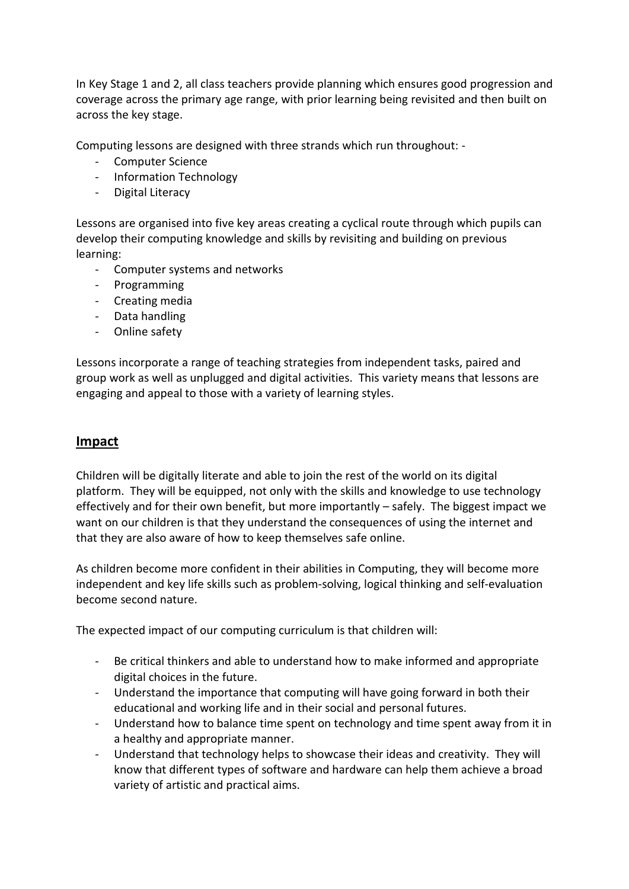In Key Stage 1 and 2, all class teachers provide planning which ensures good progression and coverage across the primary age range, with prior learning being revisited and then built on across the key stage.

Computing lessons are designed with three strands which run throughout: -

- Computer Science
- Information Technology
- Digital Literacy

Lessons are organised into five key areas creating a cyclical route through which pupils can develop their computing knowledge and skills by revisiting and building on previous learning:

- Computer systems and networks
- Programming
- Creating media
- Data handling
- Online safety

Lessons incorporate a range of teaching strategies from independent tasks, paired and group work as well as unplugged and digital activities. This variety means that lessons are engaging and appeal to those with a variety of learning styles.

## **Impact**

Children will be digitally literate and able to join the rest of the world on its digital platform. They will be equipped, not only with the skills and knowledge to use technology effectively and for their own benefit, but more importantly – safely. The biggest impact we want on our children is that they understand the consequences of using the internet and that they are also aware of how to keep themselves safe online.

As children become more confident in their abilities in Computing, they will become more independent and key life skills such as problem-solving, logical thinking and self-evaluation become second nature.

The expected impact of our computing curriculum is that children will:

- Be critical thinkers and able to understand how to make informed and appropriate digital choices in the future.
- Understand the importance that computing will have going forward in both their educational and working life and in their social and personal futures.
- Understand how to balance time spent on technology and time spent away from it in a healthy and appropriate manner.
- Understand that technology helps to showcase their ideas and creativity. They will know that different types of software and hardware can help them achieve a broad variety of artistic and practical aims.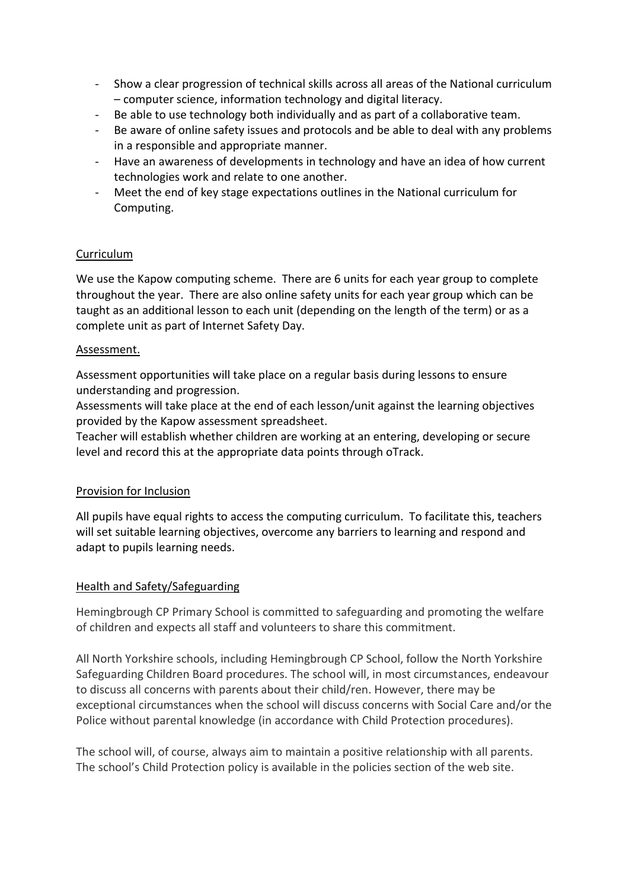- Show a clear progression of technical skills across all areas of the National curriculum – computer science, information technology and digital literacy.
- Be able to use technology both individually and as part of a collaborative team.
- Be aware of online safety issues and protocols and be able to deal with any problems in a responsible and appropriate manner.
- Have an awareness of developments in technology and have an idea of how current technologies work and relate to one another.
- Meet the end of key stage expectations outlines in the National curriculum for Computing.

## Curriculum

We use the Kapow computing scheme. There are 6 units for each year group to complete throughout the year. There are also online safety units for each year group which can be taught as an additional lesson to each unit (depending on the length of the term) or as a complete unit as part of Internet Safety Day.

#### Assessment.

Assessment opportunities will take place on a regular basis during lessons to ensure understanding and progression.

Assessments will take place at the end of each lesson/unit against the learning objectives provided by the Kapow assessment spreadsheet.

Teacher will establish whether children are working at an entering, developing or secure level and record this at the appropriate data points through oTrack.

#### Provision for Inclusion

All pupils have equal rights to access the computing curriculum. To facilitate this, teachers will set suitable learning objectives, overcome any barriers to learning and respond and adapt to pupils learning needs.

#### Health and Safety/Safeguarding

Hemingbrough CP Primary School is committed to safeguarding and promoting the welfare of children and expects all staff and volunteers to share this commitment.

All North Yorkshire schools, including Hemingbrough CP School, follow the North Yorkshire Safeguarding Children Board procedures. The school will, in most circumstances, endeavour to discuss all concerns with parents about their child/ren. However, there may be exceptional circumstances when the school will discuss concerns with Social Care and/or the Police without parental knowledge (in accordance with Child Protection procedures).

The school will, of course, always aim to maintain a positive relationship with all parents. The school's Child Protection policy is available in the policies section of the web site.